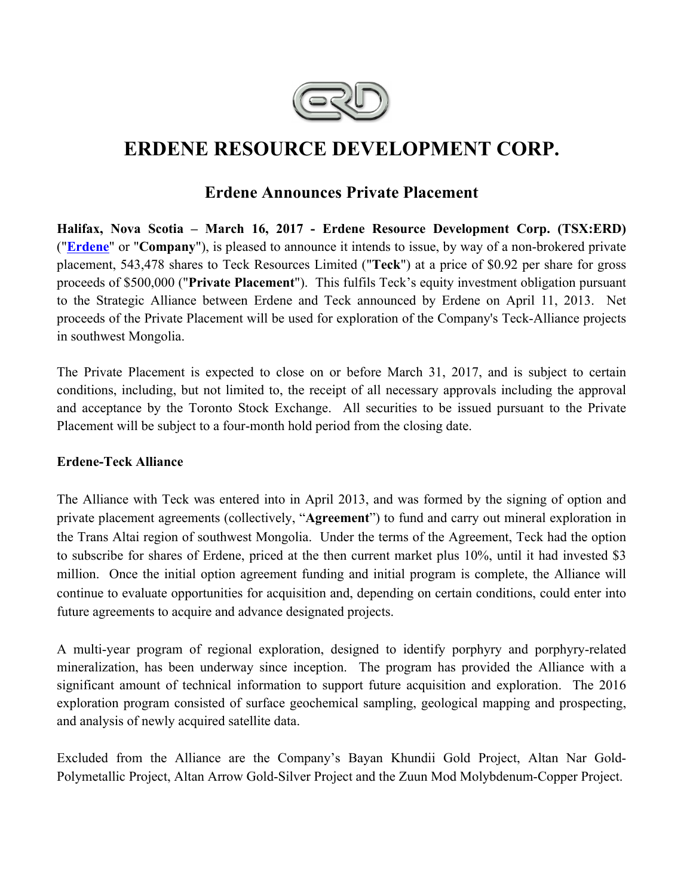

# **ERDENE RESOURCE DEVELOPMENT CORP.**

## **Erdene Announces Private Placement**

**Halifax, Nova Scotia – March 16, 2017 - Erdene Resource Development Corp. (TSX:ERD)**  ("**Erdene**" or "**Company**"), is pleased to announce it intends to issue, by way of a non-brokered private placement, 543,478 shares to Teck Resources Limited ("**Teck**") at a price of \$0.92 per share for gross proceeds of \$500,000 ("**Private Placement**"). This fulfils Teck's equity investment obligation pursuant to the Strategic Alliance between Erdene and Teck announced by Erdene on April 11, 2013. Net proceeds of the Private Placement will be used for exploration of the Company's Teck-Alliance projects in southwest Mongolia.

The Private Placement is expected to close on or before March 31, 2017, and is subject to certain conditions, including, but not limited to, the receipt of all necessary approvals including the approval and acceptance by the Toronto Stock Exchange. All securities to be issued pursuant to the Private Placement will be subject to a four-month hold period from the closing date.

### **Erdene-Teck Alliance**

The Alliance with Teck was entered into in April 2013, and was formed by the signing of option and private placement agreements (collectively, "**Agreement**") to fund and carry out mineral exploration in the Trans Altai region of southwest Mongolia. Under the terms of the Agreement, Teck had the option to subscribe for shares of Erdene, priced at the then current market plus 10%, until it had invested \$3 million. Once the initial option agreement funding and initial program is complete, the Alliance will continue to evaluate opportunities for acquisition and, depending on certain conditions, could enter into future agreements to acquire and advance designated projects.

A multi-year program of regional exploration, designed to identify porphyry and porphyry-related mineralization, has been underway since inception. The program has provided the Alliance with a significant amount of technical information to support future acquisition and exploration. The 2016 exploration program consisted of surface geochemical sampling, geological mapping and prospecting, and analysis of newly acquired satellite data.

Excluded from the Alliance are the Company's Bayan Khundii Gold Project, Altan Nar Gold-Polymetallic Project, Altan Arrow Gold-Silver Project and the Zuun Mod Molybdenum-Copper Project.